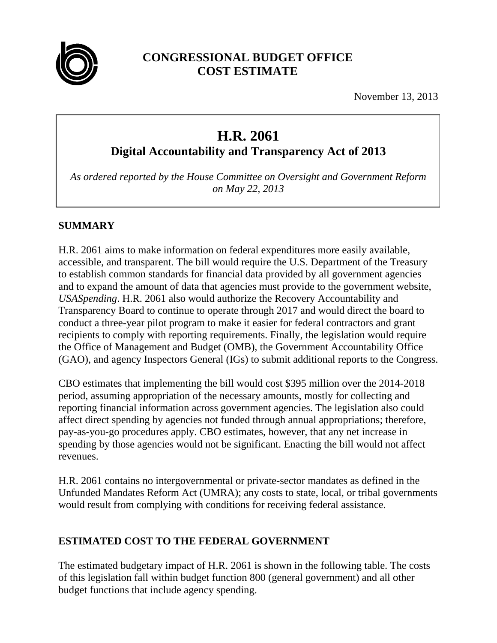

## **CONGRESSIONAL BUDGET OFFICE COST ESTIMATE**

November 13, 2013

# **H.R. 2061**

**Digital Accountability and Transparency Act of 2013**

*As ordered reported by the House Committee on Oversight and Government Reform on May 22, 2013*

## **SUMMARY**

H.R. 2061 aims to make information on federal expenditures more easily available, accessible, and transparent. The bill would require the U.S. Department of the Treasury to establish common standards for financial data provided by all government agencies and to expand the amount of data that agencies must provide to the government website, *USASpending*. H.R. 2061 also would authorize the Recovery Accountability and Transparency Board to continue to operate through 2017 and would direct the board to conduct a three-year pilot program to make it easier for federal contractors and grant recipients to comply with reporting requirements. Finally, the legislation would require the Office of Management and Budget (OMB), the Government Accountability Office (GAO), and agency Inspectors General (IGs) to submit additional reports to the Congress.

CBO estimates that implementing the bill would cost \$395 million over the 2014-2018 period, assuming appropriation of the necessary amounts, mostly for collecting and reporting financial information across government agencies. The legislation also could affect direct spending by agencies not funded through annual appropriations; therefore, pay-as-you-go procedures apply. CBO estimates, however, that any net increase in spending by those agencies would not be significant. Enacting the bill would not affect revenues.

H.R. 2061 contains no intergovernmental or private-sector mandates as defined in the Unfunded Mandates Reform Act (UMRA); any costs to state, local, or tribal governments would result from complying with conditions for receiving federal assistance.

## **ESTIMATED COST TO THE FEDERAL GOVERNMENT**

The estimated budgetary impact of H.R. 2061 is shown in the following table. The costs of this legislation fall within budget function 800 (general government) and all other budget functions that include agency spending.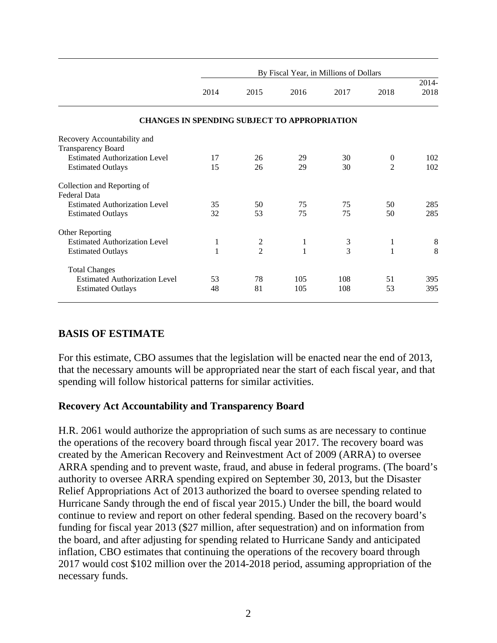|                                                     | By Fiscal Year, in Millions of Dollars |                |      |      |                |          |
|-----------------------------------------------------|----------------------------------------|----------------|------|------|----------------|----------|
|                                                     |                                        |                |      |      |                | $2014 -$ |
|                                                     | 2014                                   | 2015           | 2016 | 2017 | 2018           | 2018     |
| <b>CHANGES IN SPENDING SUBJECT TO APPROPRIATION</b> |                                        |                |      |      |                |          |
| Recovery Accountability and                         |                                        |                |      |      |                |          |
| <b>Transparency Board</b>                           |                                        |                |      |      |                |          |
| <b>Estimated Authorization Level</b>                | 17                                     | 26             | 29   | 30   | $\theta$       | 102      |
| <b>Estimated Outlays</b>                            | 15                                     | 26             | 29   | 30   | $\overline{2}$ | 102      |
| Collection and Reporting of                         |                                        |                |      |      |                |          |
| Federal Data                                        |                                        |                |      |      |                |          |
| <b>Estimated Authorization Level</b>                | 35                                     | 50             | 75   | 75   | 50             | 285      |
| <b>Estimated Outlays</b>                            | 32                                     | 53             | 75   | 75   | 50             | 285      |
| Other Reporting                                     |                                        |                |      |      |                |          |
| <b>Estimated Authorization Level</b>                | 1                                      | $\overline{c}$ | 1    | 3    | 1              | $8\,$    |
| <b>Estimated Outlays</b>                            | 1                                      | $\overline{2}$ | 1    | 3    | 1              | 8        |
| <b>Total Changes</b>                                |                                        |                |      |      |                |          |
| <b>Estimated Authorization Level</b>                | 53                                     | 78             | 105  | 108  | 51             | 395      |
| <b>Estimated Outlays</b>                            | 48                                     | 81             | 105  | 108  | 53             | 395      |

#### **BASIS OF ESTIMATE**

For this estimate, CBO assumes that the legislation will be enacted near the end of 2013, that the necessary amounts will be appropriated near the start of each fiscal year, and that spending will follow historical patterns for similar activities.

#### **Recovery Act Accountability and Transparency Board**

H.R. 2061 would authorize the appropriation of such sums as are necessary to continue the operations of the recovery board through fiscal year 2017. The recovery board was created by the American Recovery and Reinvestment Act of 2009 (ARRA) to oversee ARRA spending and to prevent waste, fraud, and abuse in federal programs. (The board's authority to oversee ARRA spending expired on September 30, 2013, but the Disaster Relief Appropriations Act of 2013 authorized the board to oversee spending related to Hurricane Sandy through the end of fiscal year 2015.) Under the bill, the board would continue to review and report on other federal spending. Based on the recovery board's funding for fiscal year 2013 (\$27 million, after sequestration) and on information from the board, and after adjusting for spending related to Hurricane Sandy and anticipated inflation, CBO estimates that continuing the operations of the recovery board through 2017 would cost \$102 million over the 2014-2018 period, assuming appropriation of the necessary funds.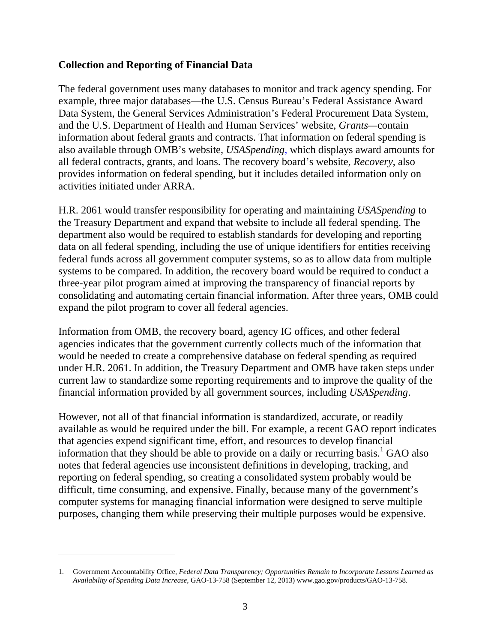#### **Collection and Reporting of Financial Data**

The federal government uses many databases to monitor and track agency spending. For example, three major databases—the U.S. Census Bureau's Federal Assistance Award Data System, the General Services Administration's Federal Procurement Data System, and the U.S. Department of Health and Human Services' website, *Grants—*contain information about federal grants and contracts. That information on federal spending is also available through OMB's website, *USASpending*, which displays award amounts for all federal contracts, grants, and loans. The recovery board's website, *Recovery*, also provides information on federal spending, but it includes detailed information only on activities initiated under ARRA.

H.R. 2061 would transfer responsibility for operating and maintaining *USASpending* to the Treasury Department and expand that website to include all federal spending. The department also would be required to establish standards for developing and reporting data on all federal spending, including the use of unique identifiers for entities receiving federal funds across all government computer systems, so as to allow data from multiple systems to be compared. In addition, the recovery board would be required to conduct a three-year pilot program aimed at improving the transparency of financial reports by consolidating and automating certain financial information. After three years, OMB could expand the pilot program to cover all federal agencies.

Information from OMB, the recovery board, agency IG offices, and other federal agencies indicates that the government currently collects much of the information that would be needed to create a comprehensive database on federal spending as required under H.R. 2061. In addition, the Treasury Department and OMB have taken steps under current law to standardize some reporting requirements and to improve the quality of the financial information provided by all government sources, including *USASpending*.

However, not all of that financial information is standardized, accurate, or readily available as would be required under the bill. For example, a recent GAO report indicates that agencies expend significant time, effort, and resources to develop financial information that they should be able to provide on a daily or recurring basis.<sup>1</sup> GAO also notes that federal agencies use inconsistent definitions in developing, tracking, and reporting on federal spending, so creating a consolidated system probably would be difficult, time consuming, and expensive. Finally, because many of the government's computer systems for managing financial information were designed to serve multiple purposes, changing them while preserving their multiple purposes would be expensive.

 $\overline{a}$ 

<sup>1.</sup> Government Accountability Office, *Federal Data Transparency; Opportunities Remain to Incorporate Lessons Learned as Availability of Spending Data Increase*, GAO-13-758 (September 12, 2013) www.gao.gov/products/GAO-13-758.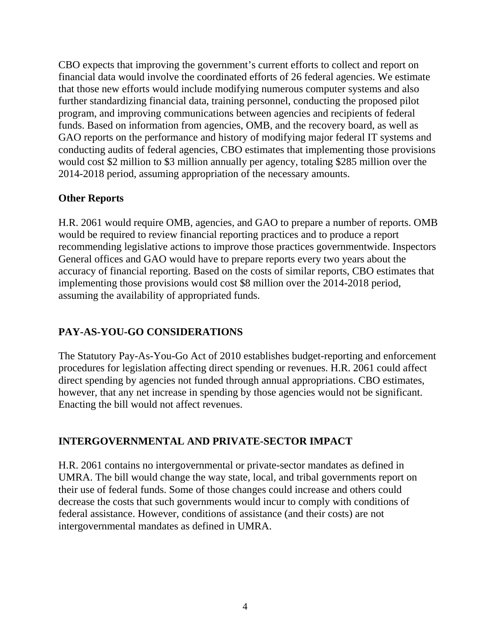CBO expects that improving the government's current efforts to collect and report on financial data would involve the coordinated efforts of 26 federal agencies. We estimate that those new efforts would include modifying numerous computer systems and also further standardizing financial data, training personnel, conducting the proposed pilot program, and improving communications between agencies and recipients of federal funds. Based on information from agencies, OMB, and the recovery board, as well as GAO reports on the performance and history of modifying major federal IT systems and conducting audits of federal agencies, CBO estimates that implementing those provisions would cost \$2 million to \$3 million annually per agency, totaling \$285 million over the 2014-2018 period, assuming appropriation of the necessary amounts.

#### **Other Reports**

H.R. 2061 would require OMB, agencies, and GAO to prepare a number of reports. OMB would be required to review financial reporting practices and to produce a report recommending legislative actions to improve those practices governmentwide. Inspectors General offices and GAO would have to prepare reports every two years about the accuracy of financial reporting. Based on the costs of similar reports, CBO estimates that implementing those provisions would cost \$8 million over the 2014-2018 period, assuming the availability of appropriated funds.

## **PAY-AS-YOU-GO CONSIDERATIONS**

The Statutory Pay-As-You-Go Act of 2010 establishes budget-reporting and enforcement procedures for legislation affecting direct spending or revenues. H.R. 2061 could affect direct spending by agencies not funded through annual appropriations. CBO estimates, however, that any net increase in spending by those agencies would not be significant. Enacting the bill would not affect revenues.

## **INTERGOVERNMENTAL AND PRIVATE-SECTOR IMPACT**

H.R. 2061 contains no intergovernmental or private-sector mandates as defined in UMRA. The bill would change the way state, local, and tribal governments report on their use of federal funds. Some of those changes could increase and others could decrease the costs that such governments would incur to comply with conditions of federal assistance. However, conditions of assistance (and their costs) are not intergovernmental mandates as defined in UMRA.